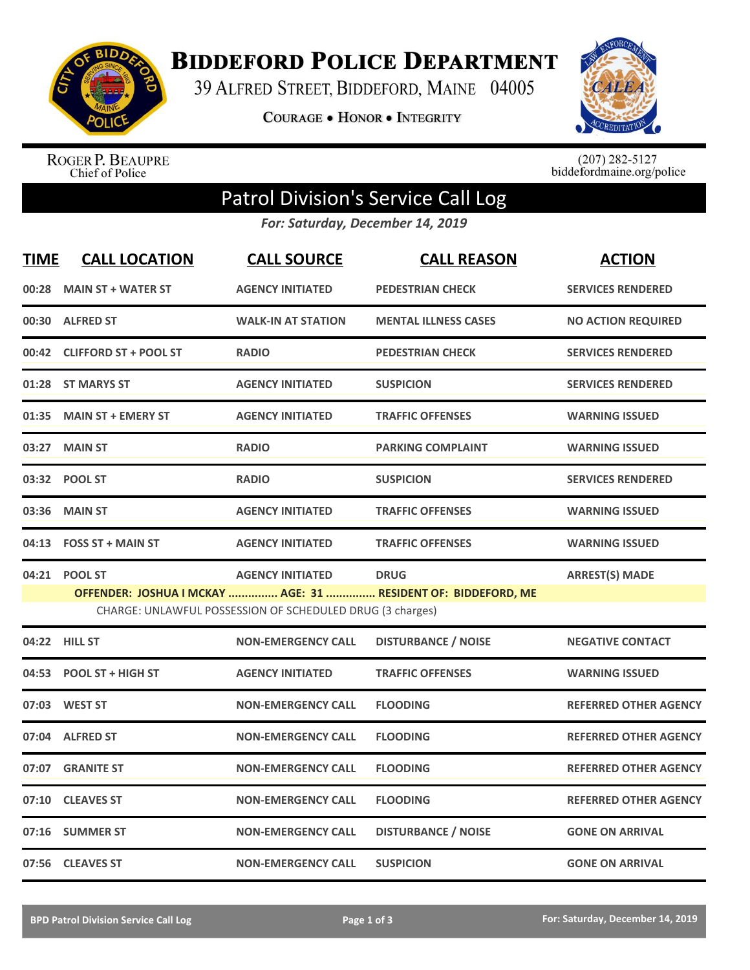

**BIDDEFORD POLICE DEPARTMENT** 

39 ALFRED STREET, BIDDEFORD, MAINE 04005

**COURAGE . HONOR . INTEGRITY** 



ROGER P. BEAUPRE<br>Chief of Police

 $(207)$  282-5127<br>biddefordmaine.org/police

## Patrol Division's Service Call Log

*For: Saturday, December 14, 2019*

| <b>TIME</b> | <b>CALL LOCATION</b>         | <b>CALL SOURCE</b>                                                                   | <b>CALL REASON</b>                                                           | <b>ACTION</b>                |
|-------------|------------------------------|--------------------------------------------------------------------------------------|------------------------------------------------------------------------------|------------------------------|
| 00:28       | <b>MAIN ST + WATER ST</b>    | <b>AGENCY INITIATED</b>                                                              | <b>PEDESTRIAN CHECK</b>                                                      | <b>SERVICES RENDERED</b>     |
| 00:30       | <b>ALFRED ST</b>             | <b>WALK-IN AT STATION</b>                                                            | <b>MENTAL ILLNESS CASES</b>                                                  | <b>NO ACTION REQUIRED</b>    |
| 00:42       | <b>CLIFFORD ST + POOL ST</b> | <b>RADIO</b>                                                                         | <b>PEDESTRIAN CHECK</b>                                                      | <b>SERVICES RENDERED</b>     |
| 01:28       | <b>ST MARYS ST</b>           | <b>AGENCY INITIATED</b>                                                              | <b>SUSPICION</b>                                                             | <b>SERVICES RENDERED</b>     |
| 01:35       | <b>MAIN ST + EMERY ST</b>    | <b>AGENCY INITIATED</b>                                                              | <b>TRAFFIC OFFENSES</b>                                                      | <b>WARNING ISSUED</b>        |
| 03:27       | <b>MAIN ST</b>               | <b>RADIO</b>                                                                         | <b>PARKING COMPLAINT</b>                                                     | <b>WARNING ISSUED</b>        |
| 03:32       | <b>POOL ST</b>               | <b>RADIO</b>                                                                         | <b>SUSPICION</b>                                                             | <b>SERVICES RENDERED</b>     |
| 03:36       | <b>MAIN ST</b>               | <b>AGENCY INITIATED</b>                                                              | <b>TRAFFIC OFFENSES</b>                                                      | <b>WARNING ISSUED</b>        |
| 04:13       | <b>FOSS ST + MAIN ST</b>     | <b>AGENCY INITIATED</b>                                                              | <b>TRAFFIC OFFENSES</b>                                                      | <b>WARNING ISSUED</b>        |
| 04:21       | <b>POOL ST</b>               | <b>AGENCY INITIATED</b><br>CHARGE: UNLAWFUL POSSESSION OF SCHEDULED DRUG (3 charges) | <b>DRUG</b><br>OFFENDER: JOSHUA I MCKAY  AGE: 31  RESIDENT OF: BIDDEFORD, ME | <b>ARREST(S) MADE</b>        |
|             | 04:22 HILL ST                | <b>NON-EMERGENCY CALL</b>                                                            | <b>DISTURBANCE / NOISE</b>                                                   | <b>NEGATIVE CONTACT</b>      |
| 04:53       | POOL ST + HIGH ST            | <b>AGENCY INITIATED</b>                                                              | <b>TRAFFIC OFFENSES</b>                                                      | <b>WARNING ISSUED</b>        |
| 07:03       | <b>WEST ST</b>               | <b>NON-EMERGENCY CALL</b>                                                            | <b>FLOODING</b>                                                              | <b>REFERRED OTHER AGENCY</b> |
| 07:04       | <b>ALFRED ST</b>             | <b>NON-EMERGENCY CALL</b>                                                            | <b>FLOODING</b>                                                              | <b>REFERRED OTHER AGENCY</b> |
| 07:07       | <b>GRANITE ST</b>            | <b>NON-EMERGENCY CALL</b>                                                            | <b>FLOODING</b>                                                              | <b>REFERRED OTHER AGENCY</b> |
| 07:10       | <b>CLEAVES ST</b>            | <b>NON-EMERGENCY CALL</b>                                                            | <b>FLOODING</b>                                                              | <b>REFERRED OTHER AGENCY</b> |
| 07:16       | <b>SUMMER ST</b>             | <b>NON-EMERGENCY CALL</b>                                                            | <b>DISTURBANCE / NOISE</b>                                                   | <b>GONE ON ARRIVAL</b>       |
|             | 07:56 CLEAVES ST             | <b>NON-EMERGENCY CALL</b>                                                            | <b>SUSPICION</b>                                                             | <b>GONE ON ARRIVAL</b>       |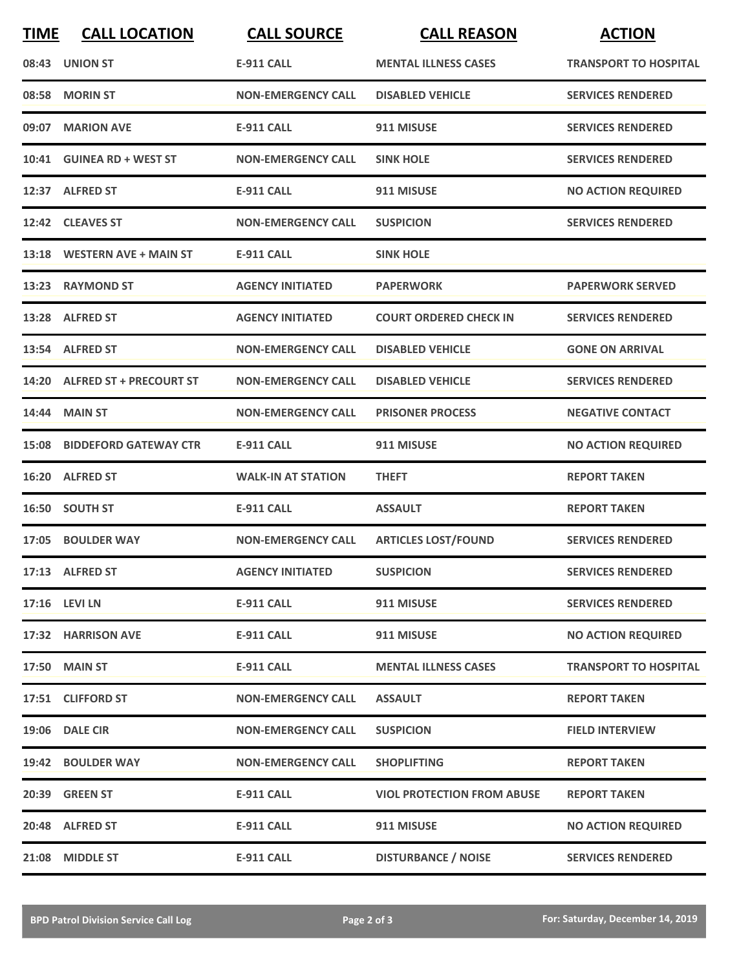| <b>TIME</b> | <b>CALL LOCATION</b>               | <b>CALL SOURCE</b>        | <b>CALL REASON</b>                | <b>ACTION</b>                |
|-------------|------------------------------------|---------------------------|-----------------------------------|------------------------------|
|             | 08:43 UNION ST                     | <b>E-911 CALL</b>         | <b>MENTAL ILLNESS CASES</b>       | <b>TRANSPORT TO HOSPITAL</b> |
|             | 08:58 MORIN ST                     | <b>NON-EMERGENCY CALL</b> | <b>DISABLED VEHICLE</b>           | <b>SERVICES RENDERED</b>     |
| 09:07       | <b>MARION AVE</b>                  | <b>E-911 CALL</b>         | 911 MISUSE                        | <b>SERVICES RENDERED</b>     |
|             | 10:41 GUINEA RD + WEST ST          | <b>NON-EMERGENCY CALL</b> | <b>SINK HOLE</b>                  | <b>SERVICES RENDERED</b>     |
|             | 12:37 ALFRED ST                    | <b>E-911 CALL</b>         | 911 MISUSE                        | <b>NO ACTION REQUIRED</b>    |
|             | 12:42 CLEAVES ST                   | <b>NON-EMERGENCY CALL</b> | <b>SUSPICION</b>                  | <b>SERVICES RENDERED</b>     |
|             | 13:18 WESTERN AVE + MAIN ST        | <b>E-911 CALL</b>         | <b>SINK HOLE</b>                  |                              |
|             | 13:23 RAYMOND ST                   | <b>AGENCY INITIATED</b>   | <b>PAPERWORK</b>                  | <b>PAPERWORK SERVED</b>      |
|             | 13:28 ALFRED ST                    | <b>AGENCY INITIATED</b>   | <b>COURT ORDERED CHECK IN</b>     | <b>SERVICES RENDERED</b>     |
|             | 13:54 ALFRED ST                    | <b>NON-EMERGENCY CALL</b> | <b>DISABLED VEHICLE</b>           | <b>GONE ON ARRIVAL</b>       |
|             | 14:20 ALFRED ST + PRECOURT ST      | <b>NON-EMERGENCY CALL</b> | <b>DISABLED VEHICLE</b>           | <b>SERVICES RENDERED</b>     |
|             | 14:44 MAIN ST                      | <b>NON-EMERGENCY CALL</b> | <b>PRISONER PROCESS</b>           | <b>NEGATIVE CONTACT</b>      |
|             | <b>15:08 BIDDEFORD GATEWAY CTR</b> | E-911 CALL                | 911 MISUSE                        | <b>NO ACTION REQUIRED</b>    |
|             | 16:20 ALFRED ST                    | <b>WALK-IN AT STATION</b> | <b>THEFT</b>                      | <b>REPORT TAKEN</b>          |
|             | 16:50 SOUTH ST                     | <b>E-911 CALL</b>         | <b>ASSAULT</b>                    | <b>REPORT TAKEN</b>          |
|             | 17:05 BOULDER WAY                  | <b>NON-EMERGENCY CALL</b> | <b>ARTICLES LOST/FOUND</b>        | <b>SERVICES RENDERED</b>     |
|             | 17:13 ALFRED ST                    | <b>AGENCY INITIATED</b>   | <b>SUSPICION</b>                  | <b>SERVICES RENDERED</b>     |
|             | 17:16 LEVI LN                      | <b>E-911 CALL</b>         | 911 MISUSE                        | <b>SERVICES RENDERED</b>     |
|             | 17:32 HARRISON AVE                 | <b>E-911 CALL</b>         | 911 MISUSE                        | <b>NO ACTION REQUIRED</b>    |
|             | <b>17:50 MAIN ST</b>               | <b>E-911 CALL</b>         | <b>MENTAL ILLNESS CASES</b>       | <b>TRANSPORT TO HOSPITAL</b> |
|             | 17:51 CLIFFORD ST                  | <b>NON-EMERGENCY CALL</b> | <b>ASSAULT</b>                    | <b>REPORT TAKEN</b>          |
|             | 19:06 DALE CIR                     | <b>NON-EMERGENCY CALL</b> | <b>SUSPICION</b>                  | <b>FIELD INTERVIEW</b>       |
|             | 19:42 BOULDER WAY                  | <b>NON-EMERGENCY CALL</b> | <b>SHOPLIFTING</b>                | <b>REPORT TAKEN</b>          |
|             | 20:39 GREEN ST                     | <b>E-911 CALL</b>         | <b>VIOL PROTECTION FROM ABUSE</b> | <b>REPORT TAKEN</b>          |
|             | 20:48 ALFRED ST                    | <b>E-911 CALL</b>         | 911 MISUSE                        | <b>NO ACTION REQUIRED</b>    |
| 21:08       | <b>MIDDLE ST</b>                   | E-911 CALL                | <b>DISTURBANCE / NOISE</b>        | <b>SERVICES RENDERED</b>     |